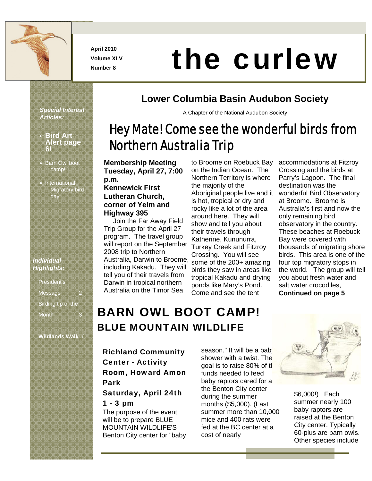

**April 2010 Volume XLV** 

# April 2010<br>Number 8 **the curlew**

*Special Interest Articles:* 

- **Bird Art Alert page 6!**
- Barn Owl boot camp!
- International Migratory bird day!

#### *Individual Highlights:*

| President's        |  |
|--------------------|--|
| Message            |  |
| Birding tip of the |  |
| <b>Month</b>       |  |

**Wildlands Walk** 6

#### **Lower Columbia Basin Audubon Society**

A Chapter of the National Audubon Society

# Hey Mate! Come see the wonderful birds from Northern Australia Trip

**Membership Meeting Tuesday, April 27, 7:00 p.m.** 

#### **Kennewick First Lutheran Church, corner of Yelm and Highway 395**

 Join the Far Away Field Trip Group for the April 27 program. The travel group will report on the September 2008 trip to Northern Australia, Darwin to Broome, including Kakadu. They will tell you of their travels from Darwin in tropical northern Australia on the Timor Sea

to Broome on Roebuck Bay on the Indian Ocean. The Northern Territory is where the majority of the Aboriginal people live and it is hot, tropical or dry and rocky like a lot of the area around here. They will show and tell you about their travels through Katherine, Kununurra, Turkey Creek and Fitzroy Crossing. You will see some of the 200+ amazing birds they saw in areas like tropical Kakadu and drying ponds like Mary's Pond. Come and see the tent

accommodations at Fitzroy Crossing and the birds at Parry's Lagoon. The final destination was the wonderful Bird Observatory at Broome. Broome is Australia's first and now the only remaining bird observatory in the country. These beaches at Roebuck Bay were covered with thousands of migrating shore birds. This area is one of the four top migratory stops in the world. The group will tell you about fresh water and salt water crocodiles, **Continued on page 5**

# BARN OWL BOOT CAMP! BLUE MOUNTAIN WILDLIFE

Richland Community Center - Activity Room, Howard Amon Park

#### Saturday, April 24th 1 - 3 pm

The purpose of the event will be to prepare BLUE MOUNTAIN WILDLIFE'S Benton City center for "baby season." It will be a baby shower with a twist. The goal is to raise 80% of the funds needed to feed baby raptors cared for a the Benton City center during the summer months (\$5,000). (Last summer more than 10,000 mice and 400 rats were fed at the BC center at a cost of nearly



\$6,000!) Each summer nearly 100 baby raptors are raised at the Benton City center. Typically 60-plus are barn owls. Other species include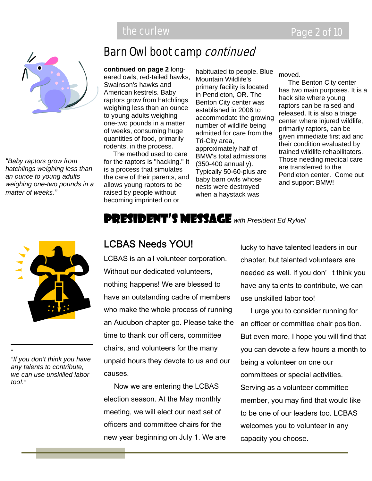

*"Baby raptors grow from hatchlings weighing less than an ounce to young adults weighing one-two pounds in a matter of weeks."* 



*"If you don't think you have any talents to contribute, we can use unskilled labor too!."*

*"* 

# Barn Owl boot camp continued

**continued on page 2** longeared owls, red-tailed hawks, Swainson's hawks and American kestrels. Baby raptors grow from hatchlings weighing less than an ounce to young adults weighing one-two pounds in a matter of weeks, consuming huge quantities of food, primarily rodents, in the process.

 The method used to care for the raptors is "hacking." It is a process that simulates the care of their parents, and allows young raptors to be raised by people without becoming imprinted on or

habituated to people. Blue Mountain Wildlife's primary facility is located in Pendleton, OR. The Benton City center was established in 2006 to accommodate the growing number of wildlife being admitted for care from the Tri-City area, approximately half of BMW's total admissions (350-400 annually). Typically 50-60-plus are baby barn owls whose nests were destroyed when a haystack was

moved.

 The Benton City center has two main purposes. It is a hack site where young raptors can be raised and released. It is also a triage center where injured wildlife, primarily raptors, can be given immediate first aid and their condition evaluated by trained wildlife rehabilitators. Those needing medical care are transferred to the Pendleton center. Come out and support BMW!

#### President's Message *with President Ed Rykiel*

#### LCBAS Needs YOU!

LCBAS is an all volunteer corporation. Without our dedicated volunteers, nothing happens! We are blessed to have an outstanding cadre of members who make the whole process of running an Audubon chapter go. Please take the time to thank our officers, committee chairs, and volunteers for the many unpaid hours they devote to us and our causes.

 Now we are entering the LCBAS election season. At the May monthly meeting, we will elect our next set of officers and committee chairs for the new year beginning on July 1. We are lucky to have talented leaders in our chapter, but talented volunteers are needed as well. If you don' t think you have any talents to contribute, we can use unskilled labor too!

 I urge you to consider running for an officer or committee chair position. But even more, I hope you will find that you can devote a few hours a month to being a volunteer on one our committees or special activities. Serving as a volunteer committee member, you may find that would like to be one of our leaders too. LCBAS welcomes you to volunteer in any capacity you choose.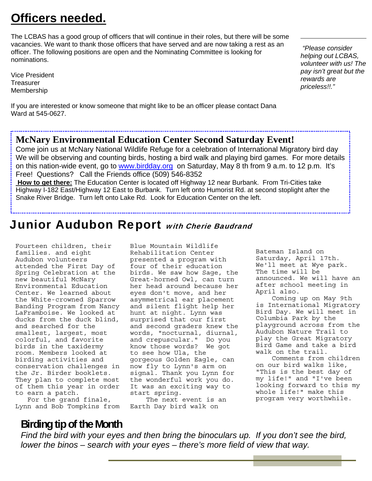# **Officers needed.**

The LCBAS has a good group of officers that will continue in their roles, but there will be some vacancies. We want to thank those officers that have served and are now taking a rest as an officer. The following positions are open and the Nominating Committee is looking for nominations.

Vice President **Treasurer** Membership

If you are interested or know someone that might like to be an officer please contact Dana Ward at 545-0627.

*"Please consider helping out LCBAS, volunteer with us! The pay isn't great but the rewards are priceless!!."* 

#### **McNary Environmental Education Center Second Saturday Event!**

Come join us at McNary National Wildlife Refuge for a celebration of International Migratory bird day We will be observing and counting birds, hosting a bird walk and playing bird games. For more details on this nation-wide event, go to www.birdday.org on Saturday, May 8 th from 9 a.m. to 12 p.m. It's Free! Questions? Call the Friends office (509) 546-8352

 **How to get there:** The Education Center is located off Highway 12 near Burbank. From Tri-Cities take Highway I-182 East/Highway 12 East to Burbank. Turn left onto Humorist Rd. at second stoplight after the Snake River Bridge. Turn left onto Lake Rd. Look for Education Center on the left.

# Junior Audubon Report with Cherie Baudrand

Fourteen children, their families. and eight Audubon volunteers attended the First Day of Spring Celebration at the new beautiful McNary Environmental Education Center. We learned about the White-crowned Sparrow Banding Program from Nancy LaFramboise. We looked at ducks from the duck blind, and searched for the smallest, largest, most colorful, and favorite birds in the taxidermy room. Members looked at birding activities and conservation challenges in the Jr. Birder booklets. They plan to complete most of them this year in order to earn a patch.

 For the grand finale, Lynn and Bob Tompkins from Blue Mountain Wildlife Rehabilitation Center presented a program with four of their education birds. We saw how Sage, the Great-horned Owl, can turn her head around because her eyes don't move, and her asymmetrical ear placement and silent flight help her hunt at night. Lynn was surprised that our first and second graders knew the words, "nocturnal, diurnal, and crepuscular." Do you know those words? We got to see how Ula, the gorgeous Golden Eagle, can now fly to Lynn's arm on signal. Thank you Lynn for the wonderful work you do. It was an exciting way to start spring.

 The next event is an Earth Day bird walk on

Bateman Island on Saturday, April 17th. We'll meet at Wye park. The time will be announced. We will have an after school meeting in April also.

 Coming up on May 9th is International Migratory Bird Day. We will meet in Columbia Park by the playground across from the Audubon Nature Trail to play the Great Migratory Bird Game and take a bird walk on the trail.

 Comments from children on our bird walks like, "This is the best day of my life!" and "I've been looking forward to this my whole life!" make this program very worthwhile.

# **Birding tip of the Month**

*Find the bird with your eyes and then bring the binoculars up. If you don't see the bird, lower the binos – search with your eyes – there's more field of view that way.*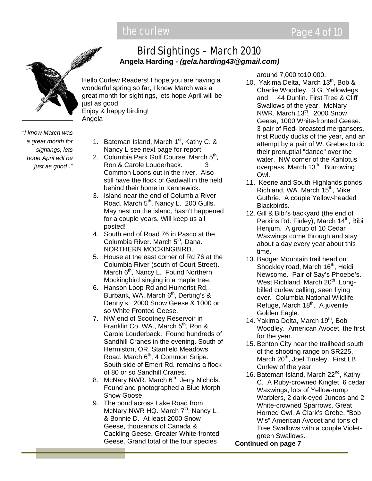

Bird Sightings – March 2010 **Angela Harding** *- (gela.harding43@gmail.com)*

Hello Curlew Readers! I hope you are having a wonderful spring so far, I know March was a great month for sightings, lets hope April will be just as good. Enjoy & happy birding! Angela

*"I know March was a great month for sightings, lets hope April will be just as good.."*

- 1. Bateman Island, March  $1<sup>st</sup>$ , Kathy C. & Nancy L see next page for report!
- 2. Columbia Park Golf Course, March 5<sup>th</sup>, Ron & Carole Louderback. 3 Common Loons out in the river. Also still have the flock of Gadwall in the field behind their home in Kennewick.
- 3. Island near the end of Columbia River Road. March  $5<sup>th</sup>$ , Nancy L. 200 Gulls. May nest on the island, hasn't happened for a couple years. Will keep us all posted!
- 4. South end of Road 76 in Pasco at the Columbia River. March 5<sup>th</sup>, Dana. NORTHERN MOCKINGBIRD.
- 5. House at the east corner of Rd 76 at the Columbia River (south of Court Street). March  $6<sup>th</sup>$ , Nancy L. Found Northern Mockingbird singing in a maple tree.
- 6. Hanson Loop Rd and Humorist Rd, Burbank, WA. March  $6<sup>th</sup>$ , Derting's & Denny's. 2000 Snow Geese & 1000 or so White Fronted Geese.
- 7. NW end of Scootney Reservoir in Franklin Co. WA., March  $5<sup>th</sup>$ , Ron & Carole Louderback. Found hundreds of Sandhill Cranes in the evening. South of Hermiston, OR. Stanfield Meadows Road. March  $6<sup>th</sup>$ , 4 Common Snipe. South side of Emert Rd. remains a flock of 80 or so Sandhill Cranes.
- 8. McNary NWR. March  $6<sup>th</sup>$ , Jerry Nichols. Found and photographed a Blue Morph Snow Goose.
- 9. The pond across Lake Road from McNary NWR HQ. March  $7<sup>th</sup>$ , Nancy L. & Bonnie D. At least 2000 Snow Geese, thousands of Canada & Cackling Geese, Greater White-fronted Geese. Grand total of the four species

around 7,000 to10,000.

- 10. Yakima Delta, March 13<sup>th</sup>, Bob & Charlie Woodley. 3 G. Yellowlegs and 44 Dunlin. First Tree & Cliff Swallows of the year. McNary NWR, March  $13<sup>th</sup>$ . 2000 Snow Geese, 1000 White-fronted Geese. 3 pair of Red- breasted mergansers, first Ruddy ducks of the year, and an attempt by a pair of W. Grebes to do their prenuptial "dance" over the water. NW corner of the Kahlotus overpass, March  $13<sup>th</sup>$ . Burrowing Owl.
- 11. Keene and South Highlands ponds, Richland, WA. March 15<sup>th</sup>, Mike Guthrie. A couple Yellow-headed Blackbirds.
- 12. Gill & Bibi's backyard (the end of Perkins Rd. Finley), March 14<sup>th</sup>, Bibi Henjum. A group of 10 Cedar Waxwings come through and stay about a day every year about this time.
- 13. Badger Mountain trail head on Shockley road, March 16<sup>th</sup>, Heidi Newsome. Pair of Say's Phoebe's. West Richland, March 20<sup>th</sup>. Longbilled curlew calling, seen flying over. Columbia National Wildlife Refuge, March  $18<sup>th</sup>$ . A juvenile Golden Eagle.
- 14. Yakima Delta, March 19<sup>th</sup>, Bob Woodley. American Avocet, the first for the year.
- 15. Benton City near the trailhead south of the shooting range on SR225, March 20<sup>th</sup>, Joel Tinsley. First LB Curlew of the year.
- 16. Bateman Island, March 22<sup>nd</sup>, Kathy C. A Ruby-crowned Kinglet, 6 cedar Waxwings, lots of Yellow-rump Warblers, 2 dark-eyed Juncos and 2 White-crowned Sparrows. Great Horned Owl. A Clark's Grebe, "Bob W's" American Avocet and tons of Tree Swallows with a couple Violetgreen Swallows.

**Continued on page 7**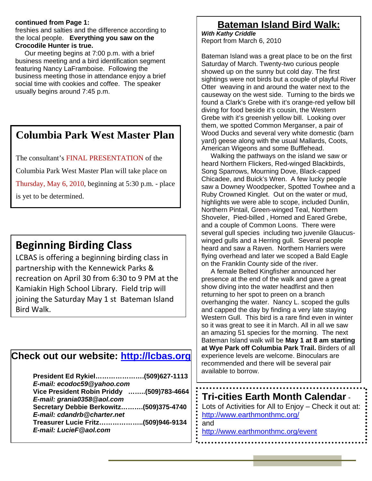#### **continued from Page 1:**

freshies and salties and the difference according to the local people. **Everything you saw on the Crocodile Hunter is true.**

 Our meeting begins at 7:00 p.m. with a brief business meeting and a bird identification segment featuring Nancy LaFramboise. Following the business meeting those in attendance enjoy a brief social time with cookies and coffee. The speaker usually begins around 7:45 p.m.

#### **Columbia Park West Master Plan**

The consultant's FINAL PRESENTATION of the

Columbia Park West Master Plan will take place on

Thursday, May 6, 2010, beginning at 5:30 p.m. - place

is yet to be determined.

# **Beginning Birding Class**

LCBAS is offering a beginning birding class in partnership with the Kennewick Parks & recreation on April 30 from 6:30 to 9 PM at the Kamiakin High School Library. Field trip will joining the Saturday May 1 st Bateman Island Bird Walk.

#### **Check out our website: http://lcbas.org**

| President Ed Rykiel(509)627-1113          |  |
|-------------------------------------------|--|
| E-mail: ecodoc59@yahoo.com                |  |
| Vice President Robin Priddy (509)783-4664 |  |
| E-mail: grania0358@aol.com                |  |
| Secretary Debbie Berkowitz(509)375-4740   |  |
| E-mail: cdandrb@charter.net               |  |
| Treasurer Lucie Fritz(509)946-9134        |  |
| E-mail: LucieF@aol.com                    |  |
|                                           |  |

## **Bateman Island Bird Walk:**

*With Kathy Criddle*  Report from March 6, 2010

Bateman Island was a great place to be on the first Saturday of March. Twenty-two curious people showed up on the sunny but cold day. The first sightings were not birds but a couple of playful River Otter weaving in and around the water next to the causeway on the west side. Turning to the birds we found a Clark's Grebe with it's orange-red yellow bill diving for food beside it's cousin, the Western Grebe with it's greenish yellow bill. Looking over them, we spotted Common Merganser, a pair of Wood Ducks and several very white domestic (barn yard) geese along with the usual Mallards, Coots, American Wigeons and some Bufflehead.

 Walking the pathways on the island we saw or heard Northern Flickers, Red-winged Blackbirds, Song Sparrows, Mourning Dove, Black-capped Chicadee, and Buick's Wren. A few lucky people saw a Downey Woodpecker, Spotted Towhee and a Ruby Crowned Kinglet. Out on the water or mud, highlights we were able to scope, included Dunlin, Northern Pintail, Green-winged Teal, Northern Shoveler, Pied-billed , Horned and Eared Grebe, and a couple of Common Loons. There were several gull species including two juvenile Glaucuswinged gulls and a Herring gull. Several people heard and saw a Raven. Northern Harriers were flying overhead and later we scoped a Bald Eagle on the Franklin County side of the river.

 A female Belted Kingfisher announced her presence at the end of the walk and gave a great show diving into the water headfirst and then returning to her spot to preen on a branch overhanging the water. Nancy L. scoped the gulls and capped the day by finding a very late staying Western Gull. This bird is a rare find even in winter so it was great to see it in March. All in all we saw an amazing 51 species for the morning. The next Bateman Island walk will be **May 1 at 8 am starting at Wye Park off Columbia Park Trail.** Birders of all experience levels are welcome. Binoculars are recommended and there will be several pair available to borrow.

### **Tri-cities Earth Month Calendar** -

Lots of Activities for All to Enjoy – Check it out at: http://www.earthmonthmc.org/

and http://www.earthmonthmc.org/event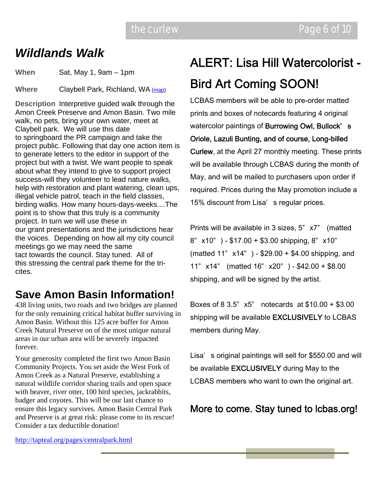# *Wildlands Walk*

**When** Sat, May 1, 9am – 1pm

**Where** Claybell Park, Richland, WA (map)

**Description** Interpretive guided walk through the Amon Creek Preserve and Amon Basin. Two mile walk, no pets, bring your own water, meet at Claybell park. We will use this date to springboard the PR campaign and take the project public. Following that day one action item is to generate letters to the editor in support of the project but with a twist. We want people to speak about what they intend to give to support project success-will they volunteer to lead nature walks, help with restoration and plant watering, clean ups, illegal vehicle patrol, teach in the field classes, birding walks. How many hours-days-weeks....The point is to show that this truly is a community project. In turn we will use these in our grant presentations and the jurisdictions hear the voices. Depending on how all my city council meetings go we may need the same tact towards the council. Stay tuned. All of this stressing the central park theme for the tricites.

# **Save Amon Basin Information!**

438 living units, two roads and two bridges are planned for the only remaining critical habitat buffer surviving in Amon Basin. Without this 125 acre buffer for Amon Creek Natural Preserve on of the most unique natural areas in our urban area will be severely impacted forever.

Your generosity completed the first two Amon Basin Community Projects. You set aside the West Fork of Amon Creek as a Natural Preserve, establishing a natural wildlife corridor sharing trails and open space with beaver, river otter, 100 bird species, jackrabbits, badger and coyotes. This will be our last chance to ensure this legacy survives. Amon Basin Central Park and Preserve is at great risk: please come to its rescue! Consider a tax deductible donation!

# ALERT: Lisa Hill Watercolorist - Bird Art Coming SOON!

LCBAS members will be able to pre-order matted prints and boxes of notecards featuring 4 original watercolor paintings of Burrowing Owl, Bullock's Oriole, Lazuli Bunting, and of course, Long-billed Curlew, at the April 27 monthly meeting. These prints will be available through LCBAS during the month of May, and will be mailed to purchasers upon order if required. Prices during the May promotion include a 15% discount from Lisa' s regular prices.

Prints will be available in 3 sizes, 5" x7" (matted 8" x10" ) - \$17.00 + \$3.00 shipping, 8" x10" (matted 11" x14" ) - \$29.00 + \$4.00 shipping, and 11" x14" (matted 16" x20" ) - \$42.00 + \$8.00 shipping, and will be signed by the artist.

Boxes of 8 3.5" x5" notecards at \$10.00 + \$3.00 shipping will be available EXCLUSIVELY to LCBAS members during May.

Lisa' s original paintings will sell for \$550.00 and will be available EXCLUSIVELY during May to the LCBAS members who want to own the original art.

#### More to come. Stay tuned to lcbas.org!

http://tapteal.org/pages/centralpark.html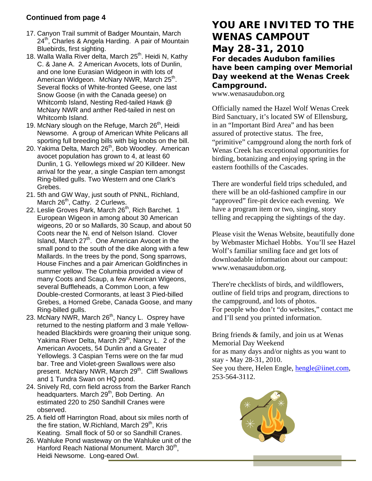#### **Continued from page 4**

- 17. Canyon Trail summit of Badger Mountain, March  $24<sup>th</sup>$ , Charles & Angela Harding. A pair of Mountain Bluebirds, first sighting.
- 18. Walla Walla River delta, March 25<sup>th</sup>. Heidi N, Kathy C. & Jane A. 2 American Avocets, lots of Dunlin, and one lone Eurasian Widgeon in with lots of American Widgeon. McNary NWR, March 25<sup>th</sup>. Several flocks of White-fronted Geese, one last Snow Goose (in with the Canada geese) on Whitcomb Island, Nesting Red-tailed Hawk @ McNary NWR and anther Red-tailed in nest on Whitcomb Island.
- 19. McNary slough on the Refuge, March  $26<sup>th</sup>$ , Heidi Newsome. A group of American White Pelicans all sporting full breeding bills with big knobs on the bill.
- 20. Yakima Delta, March 26<sup>th</sup>, Bob Woodley. American avocet population has grown to 4, at least 60 Dunlin, 1 G. Yellowlegs mixed w/ 20 Killdeer. New arrival for the year, a single Caspian tern amongst Ring-billed gulls. Two Western and one Clark's Grebes.
- 21. 5th and GW Way, just south of PNNL, Richland, March 26<sup>th</sup>, Cathy. 2 Curlews.
- 22. Leslie Groves Park, March 26<sup>th</sup>, Rich Barchet. 1 European Wigeon in among about 30 American wigeons, 20 or so Mallards, 30 Scaup, and about 50 Coots near the N. end of Nelson Island. Clover Island, March 27<sup>th</sup>. One American Avocet in the small pond to the south of the dike along with a few Mallards. In the trees by the pond, Song sparrows, House Finches and a pair American Goldfinches in summer yellow. The Columbia provided a view of many Coots and Scaup, a few American Wigeons, several Buffleheads, a Common Loon, a few Double-crested Cormorants, at least 3 Pied-billed Grebes, a Horned Grebe, Canada Goose, and many Ring-billed gulls.
- 23. McNary NWR, March 26<sup>th</sup>, Nancy L. Osprey have returned to the nesting platform and 3 male Yellowheaded Blackbirds were groaning their unique song. Yakima River Delta, March 29<sup>th</sup>, Nancy L. 2 of the American Avocets, 54 Dunlin and a Greater Yellowlegs. 3 Caspian Terns were on the far mud bar. Tree and Violet-green Swallows were also present. McNary NWR, March 29<sup>th</sup>. Cliff Swallows and 1 Tundra Swan on HQ pond.
- 24. Snively Rd, corn field across from the Barker Ranch headquarters. March 29<sup>th</sup>, Bob Derting. An estimated 220 to 250 Sandhill Cranes were observed.
- 25. A field off Harrington Road, about six miles north of the fire station, W.Richland, March  $29<sup>th</sup>$ , Kris Keating. Small flock of 50 or so Sandhill Cranes.
- 26. Wahluke Pond wasteway on the Wahluke unit of the Hanford Reach National Monument. March 30<sup>th</sup>, Heidi Newsome. Long-eared Owl.

#### **YOU ARE INVITED TO THE WENAS CAMPOUT May 28-31, 2010 For decades Audubon families have been camping over Memorial**

#### **Day weekend at the Wenas Creek Campground.**

www.wenasaudubon.org

Officially named the Hazel Wolf Wenas Creek Bird Sanctuary, it's located SW of Ellensburg, in an "Important Bird Area" and has been assured of protective status. The free, "primitive" campground along the north fork of Wenas Creek has exceptional opportunities for birding, botanizing and enjoying spring in the eastern foothills of the Cascades.

There are wonderful field trips scheduled, and there will be an old-fashioned campfire in our "approved" fire-pit device each evening. We have a program item or two, singing, story telling and recapping the sightings of the day.

Please visit the Wenas Website, beautifully done by Webmaster Michael Hobbs. You'll see Hazel Wolf's familiar smiling face and get lots of downloadable information about our campout: www.wenasaudubon.org.

There're checklists of birds, and wildflowers, outline of field trips and program, directions to the campground, and lots of photos. For people who don't "do websites," contact me and I'll send you printed information.

Bring friends & family, and join us at Wenas Memorial Day Weekend for as many days and/or nights as you want to stay - May 28-31, 2010.

See you there, Helen Engle, hengle@iinet.com, 253-564-3112.

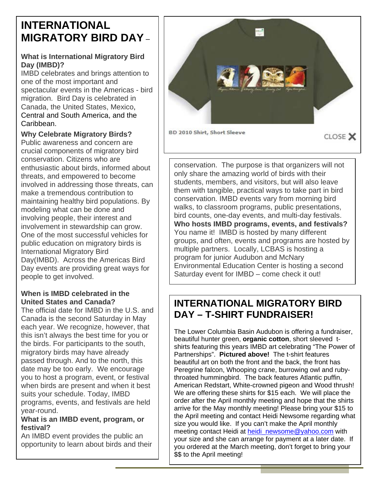# **INTERNATIONAL MIGRATORY BIRD DAY** –

#### **What is International Migratory Bird Day (IMBD)?**

IMBD celebrates and brings attention to one of the most important and spectacular events in the Americas - bird migration. Bird Day is celebrated in Canada, the United States, Mexico, Central and South America, and the Caribbean.

#### **Why Celebrate Migratory Birds?**

Public awareness and concern are crucial components of migratory bird conservation. Citizens who are enthusiastic about birds, informed about threats, and empowered to become involved in addressing those threats, can make a tremendous contribution to maintaining healthy bird populations. By modeling what can be done and involving people, their interest and involvement in stewardship can grow. One of the most successful vehicles for public education on migratory birds is International Migratory Bird Day(IMBD). Across the Americas Bird Day events are providing great ways for people to get involved.

#### **When is IMBD celebrated in the United States and Canada?**

The official date for IMBD in the U.S. and Canada is the second Saturday in May each year. We recognize, however, that this isn't always the best time for you or the birds. For participants to the south, migratory birds may have already passed through. And to the north, this date may be too early. We encourage you to host a program, event, or festival when birds are present and when it best suits your schedule. Today, IMBD programs, events, and festivals are held year-round.

#### **What is an IMBD event, program, or festival?**

An IMBD event provides the public an opportunity to learn about birds and their



conservation. The purpose is that organizers will not only share the amazing world of birds with their students, members, and visitors, but will also leave them with tangible, practical ways to take part in bird conservation. IMBD events vary from morning bird walks, to classroom programs, public presentations, bird counts, one-day events, and multi-day festivals. **Who hosts IMBD programs, events, and festivals?** You name it! IMBD is hosted by many different groups, and often, events and programs are hosted by multiple partners. Locally, LCBAS is hosting a program for junior Audubon and McNary Environmental Education Center is hosting a second Saturday event for IMBD – come check it out!

### **INTERNATIONAL MIGRATORY BIRD DAY – T-SHIRT FUNDRAISER!**

The Lower Columbia Basin Audubon is offering a fundraiser, beautiful hunter green, **organic cotton**, short sleeved tshirts featuring this years IMBD art celebrating "The Power of Partnerships". **Pictured above!** The t-shirt features beautiful art on both the front and the back, the front has Peregrine falcon, Whooping crane, burrowing owl and rubythroated hummingbird. The back features Atlantic puffin, American Redstart, White-crowned pigeon and Wood thrush! We are offering these shirts for \$15 each. We will place the order after the April monthly meeting and hope that the shirts arrive for the May monthly meeting! Please bring your \$15 to the April meeting and contact Heidi Newsome regarding what size you would like. If you can't make the April monthly meeting contact Heidi at heidi\_newsome@yahoo.com with your size and she can arrange for payment at a later date. If you ordered at the March meeting, don't forget to bring your \$\$ to the April meeting!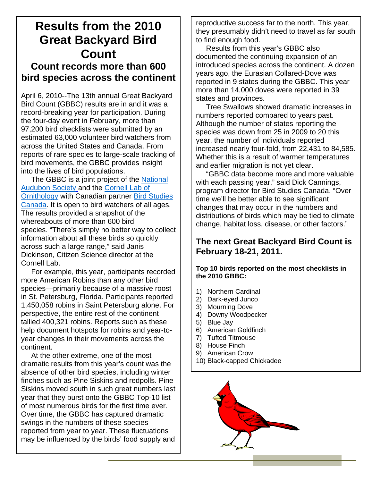# **Results from the 2010 Great Backyard Bird Count Count records more than 600 bird species across the continent**

April 6, 2010--The 13th annual Great Backyard Bird Count (GBBC) results are in and it was a record-breaking year for participation. During the four-day event in February, more than 97,200 bird checklists were submitted by an estimated 63,000 volunteer bird watchers from across the United States and Canada. From reports of rare species to large-scale tracking of bird movements, the GBBC provides insight into the lives of bird populations.

The GBBC is a joint project of the National Audubon Society and the Cornell Lab of Ornithology with Canadian partner Bird Studies Canada. It is open to bird watchers of all ages. The results provided a snapshot of the whereabouts of more than 600 bird species. "There's simply no better way to collect information about all these birds so quickly across such a large range," said Janis Dickinson, Citizen Science director at the Cornell Lab.

 For example, this year, participants recorded more American Robins than any other bird species—primarily because of a massive roost in St. Petersburg, Florida. Participants reported 1,450,058 robins in Saint Petersburg alone. For perspective, the entire rest of the continent tallied 400,321 robins. Reports such as these help document hotspots for robins and year-toyear changes in their movements across the continent.

 At the other extreme, one of the most dramatic results from this year's count was the absence of other bird species, including winter finches such as Pine Siskins and redpolls. Pine Siskins moved south in such great numbers last year that they burst onto the GBBC Top-10 list of most numerous birds for the first time ever. Over time, the GBBC has captured dramatic swings in the numbers of these species reported from year to year. These fluctuations may be influenced by the birds' food supply and

reproductive success far to the north. This year, they presumably didn't need to travel as far south to find enough food.

 Results from this year's GBBC also documented the continuing expansion of an introduced species across the continent. A dozen years ago, the Eurasian Collared-Dove was reported in 9 states during the GBBC. This year more than 14,000 doves were reported in 39 states and provinces.

 Tree Swallows showed dramatic increases in numbers reported compared to years past. Although the number of states reporting the species was down from 25 in 2009 to 20 this year, the number of individuals reported increased nearly four-fold, from 22,431 to 84,585. Whether this is a result of warmer temperatures and earlier migration is not yet clear.

 "GBBC data become more and more valuable with each passing year," said Dick Cannings, program director for Bird Studies Canada. "Over time we'll be better able to see significant changes that may occur in the numbers and distributions of birds which may be tied to climate change, habitat loss, disease, or other factors."

#### **The next Great Backyard Bird Count is February 18-21, 2011.**

**Top 10 birds reported on the most checklists in the 2010 GBBC:** 

- 1) Northern Cardinal
- 2) Dark-eyed Junco
- 3) Mourning Dove
- 4) Downy Woodpecker
- 5) Blue Jay
- 6) American Goldfinch
- 7) Tufted Titmouse
- 8) House Finch
- 9) American Crow
- 10) Black-capped Chickadee